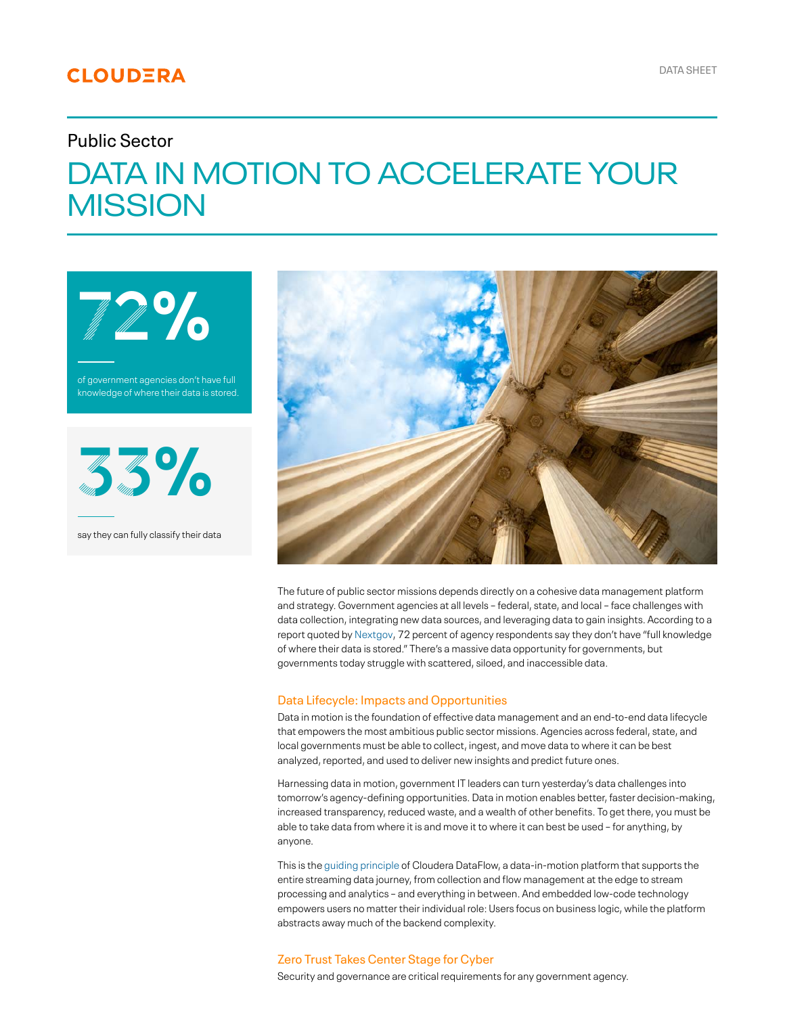# **CLOUDERA**

# Public Sector

# DATA IN MOTION TO ACCELERATE YOUR **MISSION**

of government agencies don't have full knowledge of where their data is stored.

72%



say they can fully classify their data



The future of public sector missions depends directly on a cohesive data management platform and strategy. Government agencies at all levels – federal, state, and local – face challenges with data collection, integrating new data sources, and leveraging data to gain insights. According to a report quoted by [Nextgov,](https://www.nextgov.com/ideas/2021/07/state-data-security-federal-government/183869/) 72 percent of agency respondents say they don't have "full knowledge of where their data is stored." There's a massive data opportunity for governments, but governments today struggle with scattered, siloed, and inaccessible data.

#### Data Lifecycle: Impacts and Opportunities

Data in motion is the foundation of effective data management and an end-to-end data lifecycle that empowers the most ambitious public sector missions. Agencies across federal, state, and local governments must be able to collect, ingest, and move data to where it can be best analyzed, reported, and used to deliver new insights and predict future ones.

Harnessing data in motion, government IT leaders can turn yesterday's data challenges into tomorrow's agency-defining opportunities. Data in motion enables better, faster decision-making, increased transparency, reduced waste, and a wealth of other benefits. To get there, you must be able to take data from where it is and move it to where it can best be used – for anything, by anyone.

This is the [guiding principle](https://www.cloudera.com/content/dam/www/marketing/resources/solution-briefs/data-in-motion-philosophy.pdf.landing.html) of Cloudera DataFlow, a data-in-motion platform that supports the entire streaming data journey, from collection and flow management at the edge to stream processing and analytics – and everything in between. And embedded low-code technology empowers users no matter their individual role: Users focus on business logic, while the platform abstracts away much of the backend complexity.

## Zero Trust Takes Center Stage for Cyber

Security and governance are critical requirements for any government agency.